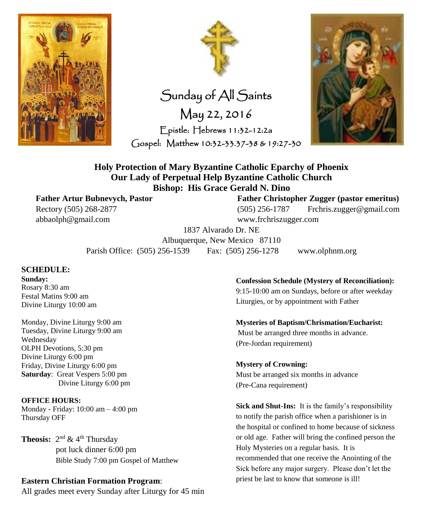



Sunday of All Saints May 22, 2016 Epistle: Hebrews 11:32-12:2a Gospel: Matthew 10:32-33.37-38 & 19:27-30



**Holy Protection of Mary Byzantine Catholic Eparchy of Phoenix Our Lady of Perpetual Help Byzantine Catholic Church Bishop: His Grace Gerald N. Dino**

**Father Artur Bubnevych, Pastor Father Christopher Zugger (pastor emeritus)** Rectory (505) 268-2877 (505) 256-1787 Frchris.zugger@gmail.com abbaolph@gmail.com www.frchriszugger.com

> 1837 Alvarado Dr. NE Albuquerque, New Mexico 87110

Parish Office: (505) 256-1539 Fax: (505) 256-1278 www.olphnm.org

### **SCHEDULE:**

**Sunday:** Rosary 8:30 am Festal Matins 9:00 am Divine Liturgy 10:00 am

Monday, Divine Liturgy 9:00 am Tuesday, Divine Liturgy 9:00 am Wednesday OLPH Devotions, 5:30 pm Divine Liturgy 6:00 pm Friday, Divine Liturgy 6:00 pm **Saturday**: Great Vespers 5:00 pm Divine Liturgy 6:00 pm

**OFFICE HOURS:** Monday - Friday: 10:00 am – 4:00 pm Thursday OFF

**Theosis:**  $2^{nd}$  & 4<sup>th</sup> Thursday pot luck dinner 6:00 pm Bible Study 7:00 pm Gospel of Matthew

## **Eastern Christian Formation Program**:

All grades meet every Sunday after Liturgy for 45 min

**Confession Schedule (Mystery of Reconciliation):**

9:15-10:00 am on Sundays, before or after weekday Liturgies, or by appointment with Father

**Mysteries of Baptism/Chrismation/Eucharist:** Must be arranged three months in advance. (Pre-Jordan requirement)

**Mystery of Crowning:** Must be arranged six months in advance (Pre-Cana requirement)

**Sick and Shut-Ins:** It is the family's responsibility to notify the parish office when a parishioner is in the hospital or confined to home because of sickness or old age. Father will bring the confined person the Holy Mysteries on a regular basis. It is recommended that one receive the Anointing of the Sick before any major surgery. Please don't let the priest be last to know that someone is ill!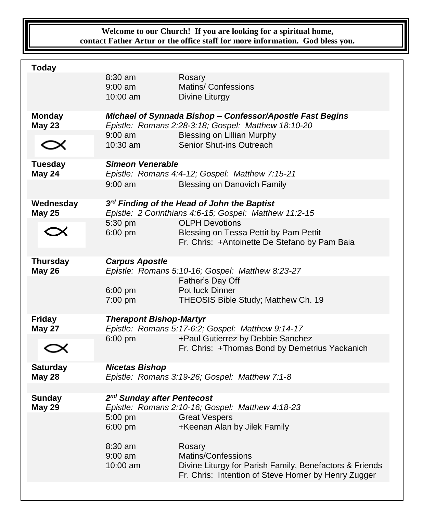## **Welcome to our Church! If you are looking for a spiritual home, contact Father Artur or the office staff for more information. God bless you.**

| <b>Today</b>                     |                                                                                                                                                                    |                                                                                                                                                 |  |
|----------------------------------|--------------------------------------------------------------------------------------------------------------------------------------------------------------------|-------------------------------------------------------------------------------------------------------------------------------------------------|--|
|                                  | $8:30$ am<br>$9:00$ am<br>$10:00$ am                                                                                                                               | Rosary<br>Matins/ Confessions<br>Divine Liturgy                                                                                                 |  |
| <b>Monday</b><br><b>May 23</b>   | Michael of Synnada Bishop - Confessor/Apostle Fast Begins<br>Epistle: Romans 2:28-3:18; Gospel: Matthew 18:10-20<br>$9:00$ am<br><b>Blessing on Lillian Murphy</b> |                                                                                                                                                 |  |
| $\bm{\propto}$                   | 10:30 am                                                                                                                                                           | Senior Shut-ins Outreach                                                                                                                        |  |
| <b>Tuesday</b><br>May 24         | Simeon Venerable<br>Epistle: Romans 4:4-12; Gospel: Matthew 7:15-21<br>$9:00$ am<br><b>Blessing on Danovich Family</b>                                             |                                                                                                                                                 |  |
|                                  |                                                                                                                                                                    |                                                                                                                                                 |  |
| Wednesday<br><b>May 25</b>       | 3rd Finding of the Head of John the Baptist<br>Epistle: 2 Corinthians 4:6-15; Gospel: Matthew 11:2-15                                                              |                                                                                                                                                 |  |
|                                  | 5:30 pm<br>6:00 pm                                                                                                                                                 | <b>OLPH Devotions</b><br>Blessing on Tessa Pettit by Pam Pettit<br>Fr. Chris: +Antoinette De Stefano by Pam Baia                                |  |
| <b>Thursday</b><br><b>May 26</b> | <b>Carpus Apostle</b><br>$6:00$ pm<br>7:00 pm                                                                                                                      | Epistle: Romans 5:10-16; Gospel: Matthew 8:23-27<br>Father's Day Off<br>Pot luck Dinner<br>THEOSIS Bible Study; Matthew Ch. 19                  |  |
| <b>Friday</b><br><b>May 27</b>   | <b>Therapont Bishop-Martyr</b><br>Epistle: Romans 5:17-6:2; Gospel: Matthew 9:14-17                                                                                |                                                                                                                                                 |  |
|                                  | $6:00$ pm                                                                                                                                                          | +Paul Gutierrez by Debbie Sanchez<br>Fr. Chris: +Thomas Bond by Demetrius Yackanich                                                             |  |
| <b>Saturday</b><br><b>May 28</b> | <b>Nicetas Bishop</b><br>Epistle: Romans 3:19-26; Gospel: Matthew 7:1-8                                                                                            |                                                                                                                                                 |  |
| <b>Sunday</b><br><b>May 29</b>   | 2 <sup>nd</sup> Sunday after Pentecost<br>Epistle: Romans 2:10-16; Gospel: Matthew 4:18-23                                                                         |                                                                                                                                                 |  |
|                                  | $5:00$ pm<br>6:00 pm                                                                                                                                               | <b>Great Vespers</b><br>+Keenan Alan by Jilek Family                                                                                            |  |
|                                  | $8:30$ am<br>9:00 am<br>$10:00$ am                                                                                                                                 | Rosary<br>Matins/Confessions<br>Divine Liturgy for Parish Family, Benefactors & Friends<br>Fr. Chris: Intention of Steve Horner by Henry Zugger |  |
|                                  |                                                                                                                                                                    |                                                                                                                                                 |  |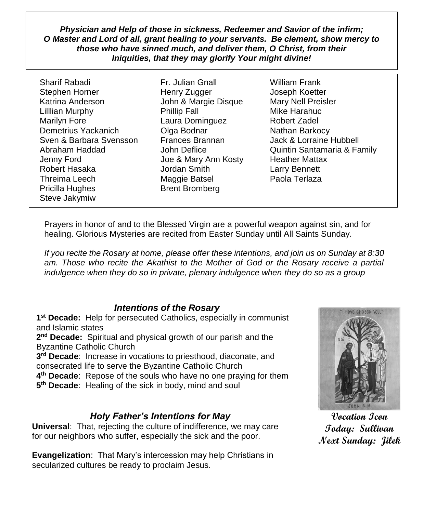*Physician and Help of those in sickness, Redeemer and Savior of the infirm; O Master and Lord of all, grant healing to your servants. Be clement, show mercy to those who have sinned much, and deliver them, O Christ, from their Iniquities, that they may glorify Your might divine!*

Sharif Rabadi Fr. Julian Gnall William Frank Stephen Horner Thenry Zugger Thenry Zugger and Joseph Koetter Katrina Anderson John & Margie Disque Mary Nell Preisler Lilllian Murphy **Phillip Fall** Mike Harahuc Marilyn Fore Laura Dominguez Robert Zadel Demetrius Yackanich **Olga Bodnar** Nathan Barkocy Sven & Barbara Svensson Frances Brannan Jack & Lorraine Hubbell Jenny Ford Joe & Mary Ann Kosty Heather Mattax Robert Hasaka Jordan Smith Larry Bennett Threima Leech Maggie Batsel Paola Terlaza Pricilla Hughes Brent Bromberg Steve Jakymiw

Abraham Haddad John Deflice Quintin Santamaria & Family

Prayers in honor of and to the Blessed Virgin are a powerful weapon against sin, and for healing. Glorious Mysteries are recited from Easter Sunday until All Saints Sunday.

*If you recite the Rosary at home, please offer these intentions, and join us on Sunday at 8:30*  am. Those who recite the Akathist to the Mother of God or the Rosary receive a partial *indulgence when they do so in private, plenary indulgence when they do so as a group*

## *Intentions of the Rosary*

**1 st Decade:** Help for persecuted Catholics, especially in communist and Islamic states

**2 nd Decade:** Spiritual and physical growth of our parish and the Byzantine Catholic Church

**3 rd Decade**: Increase in vocations to priesthood, diaconate, and consecrated life to serve the Byzantine Catholic Church

**4 th Decade**: Repose of the souls who have no one praying for them

**5 th Decade**: Healing of the sick in body, mind and soul

## *Holy Father's Intentions for May*

**Universal**: That, rejecting the culture of indifference, we may care for our neighbors who suffer, especially the sick and the poor.

**Evangelization**: That Mary's intercession may help Christians in secularized cultures be ready to proclaim Jesus.



**Vocation Icon Today: Sullivan Next Sunday: Jilek**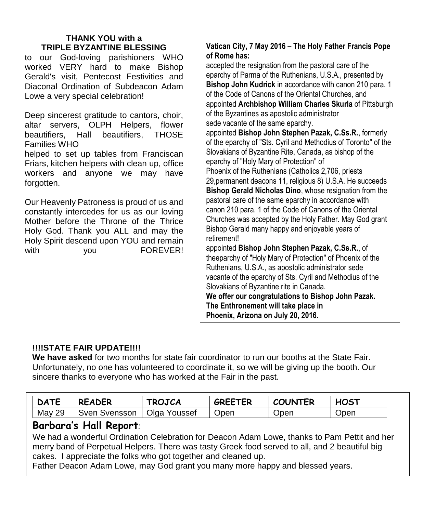## **THANK YOU with a TRIPLE BYZANTINE BLESSING**

to our God-loving parishioners WHO worked VERY hard to make Bishop Gerald's visit, Pentecost Festivities and Diaconal Ordination of Subdeacon Adam Lowe a very special celebration!

Deep sincerest gratitude to cantors, choir, altar servers, OLPH Helpers, flower beautifiers, Hall beautifiers, THOSE Families WHO

helped to set up tables from Franciscan Friars, kitchen helpers with clean up, office workers and anyone we may have forgotten.

Our Heavenly Patroness is proud of us and constantly intercedes for us as our loving Mother before the Throne of the Thrice Holy God. Thank you ALL and may the Holy Spirit descend upon YOU and remain with **you** FOREVER!

## **Vatican City, 7 May 2016 – The Holy Father Francis Pope of Rome has:**

accepted the resignation from the pastoral care of the eparchy of Parma of the Ruthenians, U.S.A., presented by **Bishop John Kudrick** in accordance with canon 210 para. 1 of the Code of Canons of the Oriental Churches, and appointed **Archbishop William Charles Skurla** of Pittsburgh of the Byzantines as apostolic administrator sede vacante of the same eparchy. appointed **Bishop John Stephen Pazak, C.Ss.R.**, formerly of the eparchy of "Sts. Cyril and Methodius of Toronto" of the Slovakians of Byzantine Rite, Canada, as bishop of the eparchy of "Holy Mary of Protection" of Phoenix of the Ruthenians (Catholics 2,706, priests 29,permanent deacons 11, religious 8) U.S.A. He succeeds **Bishop Gerald Nicholas Dino**, whose resignation from the pastoral care of the same eparchy in accordance with canon 210 para. 1 of the Code of Canons of the Oriental Churches was accepted by the Holy Father. May God grant Bishop Gerald many happy and enjoyable years of retirement!

appointed **Bishop John Stephen Pazak, C.Ss.R.**, of theeparchy of "Holy Mary of Protection" of Phoenix of the Ruthenians, U.S.A., as apostolic administrator sede vacante of the eparchy of Sts. Cyril and Methodius of the Slovakians of Byzantine rite in Canada.

**We offer our congratulations to Bishop John Pazak. The Enthronement will take place in Phoenix, Arizona on July 20, 2016.**

**Many Happy and Blessed Years!**

## **!!!!STATE FAIR UPDATE!!!!**

**We have asked** for two months for state fair coordinator to run our booths at the State Fair. Unfortunately, no one has volunteered to coordinate it, so we will be giving up the booth. Our sincere thanks to everyone who has worked at the Fair in the past.

| <b>DATE</b> | <b>READER</b> | <b>TROJCA</b> | <b>GREETER</b> | <b>COUNTER</b> | <b>HOST</b> |
|-------------|---------------|---------------|----------------|----------------|-------------|
| May 29      | Sven Svensson | Olga Youssef  | Open           | Open           | Open        |

## **Barbara's Hall Report***:*

We had a wonderful Ordination Celebration for Deacon Adam Lowe, thanks to Pam Pettit and her merry band of Perpetual Helpers. There was tasty Greek food served to all, and 2 beautiful big cakes. I appreciate the folks who got together and cleaned up.

Father Deacon Adam Lowe, may God grant you many more happy and blessed years.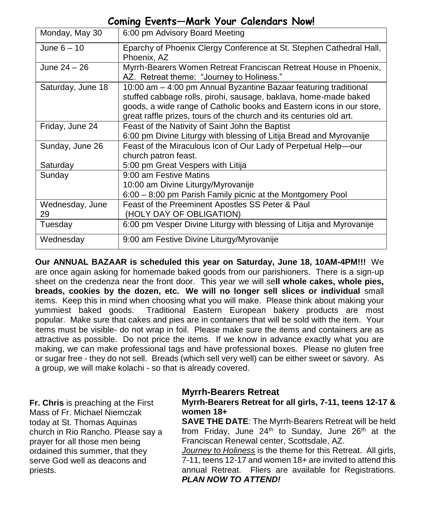## **Coming Events—Mark Your Calendars Now!**

| Monday, May 30    | 6:00 pm Advisory Board Meeting                                                                                                                                                                                                                                                       |
|-------------------|--------------------------------------------------------------------------------------------------------------------------------------------------------------------------------------------------------------------------------------------------------------------------------------|
| June $6-10$       | Eparchy of Phoenix Clergy Conference at St. Stephen Cathedral Hall,<br>Phoenix, AZ                                                                                                                                                                                                   |
| June $24 - 26$    | Myrrh-Bearers Women Retreat Franciscan Retreat House in Phoenix,<br>AZ. Retreat theme: "Journey to Holiness."                                                                                                                                                                        |
| Saturday, June 18 | 10:00 am - 4:00 pm Annual Byzantine Bazaar featuring traditional<br>stuffed cabbage rolls, pirohi, sausage, baklava, home-made baked<br>goods, a wide range of Catholic books and Eastern icons in our store,<br>great raffle prizes, tours of the church and its centuries old art. |
| Friday, June 24   | Feast of the Nativity of Saint John the Baptist<br>6:00 pm Divine Liturgy with blessing of Litija Bread and Myrovanije                                                                                                                                                               |
| Sunday, June 26   | Feast of the Miraculous Icon of Our Lady of Perpetual Help-our<br>church patron feast.                                                                                                                                                                                               |
| Saturday          | 5:00 pm Great Vespers with Litija                                                                                                                                                                                                                                                    |
| Sunday            | 9:00 am Festive Matins                                                                                                                                                                                                                                                               |
|                   | 10:00 am Divine Liturgy/Myrovanije                                                                                                                                                                                                                                                   |
|                   | 6:00 - 8:00 pm Parish Family picnic at the Montgomery Pool                                                                                                                                                                                                                           |
| Wednesday, June   | Feast of the Preeminent Apostles SS Peter & Paul                                                                                                                                                                                                                                     |
| 29                | (HOLY DAY OF OBLIGATION)                                                                                                                                                                                                                                                             |
| Tuesday           | 6:00 pm Vesper Divine Liturgy with blessing of Litija and Myrovanije                                                                                                                                                                                                                 |
| Wednesday         | 9:00 am Festive Divine Liturgy/Myrovanije                                                                                                                                                                                                                                            |

**Our ANNUAL BAZAAR is scheduled this year on Saturday, June 18, 10AM-4PM!!!** We are once again asking for homemade baked goods from our parishioners. There is a sign-up sheet on the credenza near the front door. This year we will se**ll whole cakes, whole pies, breads, cookies by the dozen, etc. We will no longer sell slices or individual** small items. Keep this in mind when choosing what you will make. Please think about making your yummiest baked goods. Traditional Eastern European bakery products are most popular. Make sure that cakes and pies are in containers that will be sold with the item. Your items must be visible- do not wrap in foil. Please make sure the items and containers are as attractive as possible. Do not price the items. If we know in advance exactly what you are making, we can make professional tags and have professional boxes. Please no gluten free or sugar free - they do not sell. Breads (which sell very well) can be either sweet or savory. As a group, we will make kolachi - so that is already covered.

**Fr. Chris** is preaching at the First Mass of Fr. Michael Niemczak today at St. Thomas Aquinas church in Rio Rancho. Please say a prayer for all those men being ordained this summer, that they serve God well as deacons and priests.

## These baked goods must be brought to the church the Friday before the bazaar. If you have questions or need ideas, please see Melinda Fitzpatrick. **Myrrh-Bearers Retreat Myrrh-Bearers Retreat for all girls, 7-11, teens 12-17 & women 18+**

**SAVE THE DATE***:* The Myrrh-Bearers Retreat will be held from Friday, June  $24<sup>th</sup>$  to Sunday, June  $26<sup>th</sup>$  at the Franciscan Renewal center, Scottsdale, AZ.

*Journey to Holiness* is the theme for this Retreat. All girls, 7-11, teens 12-17 and women 18+ are invited to attend this annual Retreat. Fliers are available for Registrations. *PLAN NOW TO ATTEND!*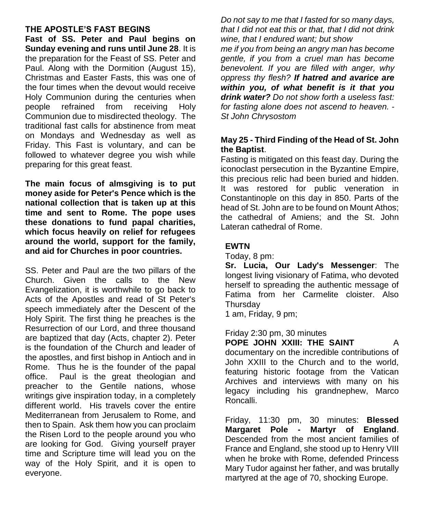## **THE APOSTLE'S FAST BEGINS**

 **Fast of SS. Peter and Paul begins on**   **Sunday evening and runs until June 28**. It is the preparation for the Feast of SS. Peter and Paul. Along with the Dormition (August 15), Christmas and Easter Fasts, this was one of the four times when the devout would receive Holy Communion during the centuries when people refrained from receiving Holy Communion due to misdirected theology. The traditional fast calls for abstinence from meat on Mondays and Wednesday as well as Friday. This Fast is voluntary, and can be followed to whatever degree you wish while preparing for this great feast.

**The main focus of almsgiving is to put money aside for Peter's Pence which is the national collection that is taken up at this time and sent to Rome. The pope uses these donations to fund papal charities, which focus heavily on relief for refugees around the world, support for the family, and aid for Churches in poor countries.** 

SS. Peter and Paul are the two pillars of the Church. Given the calls to the New Evangelization, it is worthwhile to go back to Acts of the Apostles and read of St Peter's speech immediately after the Descent of the Holy Spirit. The first thing he preaches is the Resurrection of our Lord, and three thousand are baptized that day (Acts, chapter 2). Peter is the foundation of the Church and leader of the apostles, and first bishop in Antioch and in Rome. Thus he is the founder of the papal office. Paul is the great theologian and preacher to the Gentile nations, whose writings give inspiration today, in a completely different world. His travels cover the entire Mediterranean from Jerusalem to Rome, and then to Spain. Ask them how you can proclaim the Risen Lord to the people around you who are looking for God. Giving yourself prayer time and Scripture time will lead you on the way of the Holy Spirit, and it is open to everyone.

*Do not say to me that I fasted for so many days, that I did not eat this or that, that I did not drink wine, that I endured want; but show* 

*me if you from being an angry man has become gentle, if you from a cruel man has become benevolent. If you are filled with anger, why oppress thy flesh? If hatred and avarice are within you, of what benefit is it that you drink water? Do not show forth a useless fast: for fasting alone does not ascend to heaven. - St John Chrysostom*

## **May 25 - Third Finding of the Head of St. John the Baptist**.

Fasting is mitigated on this feast day. During the iconoclast persecution in the Byzantine Empire, this precious relic had been buried and hidden. It was restored for public veneration in Constantinople on this day in 850. Parts of the head of St. John are to be found on Mount Athos; the cathedral of Amiens; and the St. John Lateran cathedral of Rome.

## **EWTN**

Today, 8 pm:

**Sr. Lucia, Our Lady's Messenger**: The longest living visionary of Fatima, who devoted herself to spreading the authentic message of Fatima from her Carmelite cloister. Also **Thursdav** 

1 am, Friday, 9 pm;

Friday 2:30 pm, 30 minutes

**POPE JOHN XXIII: THE SAINT A** documentary on the incredible contributions of John XXIII to the Church and to the world, featuring historic footage from the Vatican Archives and interviews with many on his legacy including his grandnephew, Marco Roncalli.

Friday, 11:30 pm, 30 minutes: **Blessed Margaret Pole - Martyr of England**. Descended from the most ancient families of France and England, she stood up to Henry VIII when he broke with Rome, defended Princess Mary Tudor against her father, and was brutally martyred at the age of 70, shocking Europe.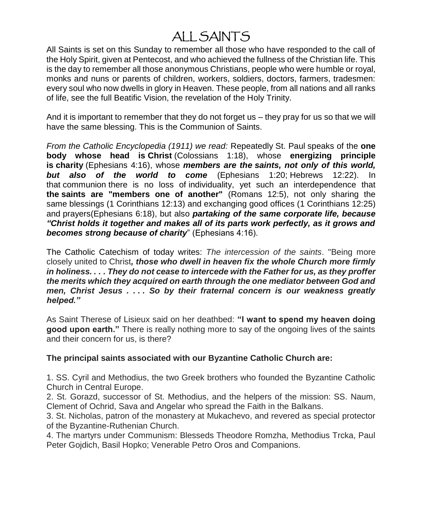# A[LL SAINT](http://www.newadvent.org/cathen/07762a.htm)S

All S[aints is set](http://www.newadvent.org/cathen/02599b.htm) [on this Sunday to rem](http://www.newadvent.org/bible/1co012.htm#vrs13)ember all t[hose who have](http://www.newadvent.org/bible/rom012.htm#vrs5) re[sponded to the call of](http://www.newadvent.org/bible/1co012.htm) the [Holy Spir](http://www.newadvent.org/cathen/12345b.htm)[it, given at Pente](http://www.newadvent.org/bible/eph006.htm#vrs18)cost, and who achieved the fullness of the Christian life. This is the day to remember all those anonymous Christians, people who were humble or royal, monks and nuns or parents of children, workers, soldiers, doctors, farmers, tradesmen: every soul who now dwells in glory in Heaven. These people, from all nations and all ranks of life, see the full Beatific Vision, the revelation of the Holy Trinity.

And it is important to remember that they do not forget us – they pray for us so that we will have the same blessing. This is the Communion of Saints.

*From the Catholic Encyclopedia (1911) we read:* Repeatedly St. Paul speaks of the **one body whose head is Christ** (Colossians 1:18), whose **energizing principle is charity** (Ephesians 4:16), whose *members are the saints, not only of this world, but also of the world to come* (Ephesians 1:20; Hebrews 12:22). In that communion there is no loss of individuality, yet such an interdependence that **the saints are "members one of another"** (Romans 12:5), not only sharing the same blessings (1 Corinthians 12:13) and exchanging good offices (1 Corinthians 12:25) and prayers(Ephesians 6:18), but also *partaking of the same corporate life, because "Christ holds it together and makes all of its parts work perfectly, as it grows and becomes strong because of charity*" (Ephesians 4:16).

The Catholic Catechism of today writes: *The intercession of the saints*. "Being more closely united to Christ*, those who dwell in heaven fix the whole Church more firmly in holiness. . . . They do not cease to intercede with the Father for us, as they proffer the merits which they acquired on earth through the one mediator between God and men, Christ Jesus . . . . So by their fraternal concern is our weakness greatly helped."*

As Saint Therese of Lisieux said on her deathbed: **"I want to spend my heaven doing good upon earth."** There is really nothing more to say of the ongoing lives of the saints and their concern for us, is there?

### **The principal saints associated with our Byzantine Catholic Church are:**

1. SS. Cyril and Methodius, the two Greek brothers who founded the Byzantine Catholic Church in Central Europe.

2. St. Gorazd, successor of St. Methodius, and the helpers of the mission: SS. Naum, Clement of Ochrid, Sava and Angelar who spread the Faith in the Balkans.

3. St. Nicholas, patron of the monastery at Mukachevo, and revered as special protector of the Byzantine-Ruthenian Church.

4. The martyrs under Communism: Blesseds Theodore Romzha, Methodius Trcka, Paul Peter Gojdich, Basil Hopko; Venerable Petro Oros and Companions.